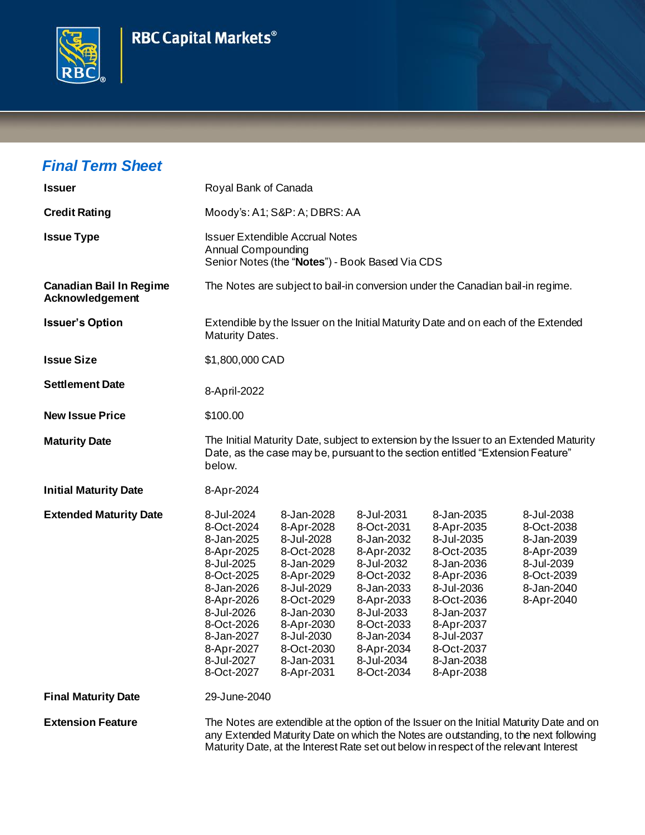



## *Final Term Sheet*

| <b>Issuer</b>                                     | Royal Bank of Canada                                                                                                                                                                             |                                                                                                                                                                                                  |                                                                                                                                                                                                  |                                                                                                                                                                                                                                                                           |                                                                                                              |
|---------------------------------------------------|--------------------------------------------------------------------------------------------------------------------------------------------------------------------------------------------------|--------------------------------------------------------------------------------------------------------------------------------------------------------------------------------------------------|--------------------------------------------------------------------------------------------------------------------------------------------------------------------------------------------------|---------------------------------------------------------------------------------------------------------------------------------------------------------------------------------------------------------------------------------------------------------------------------|--------------------------------------------------------------------------------------------------------------|
| <b>Credit Rating</b>                              | Moody's: A1; S&P: A; DBRS: AA                                                                                                                                                                    |                                                                                                                                                                                                  |                                                                                                                                                                                                  |                                                                                                                                                                                                                                                                           |                                                                                                              |
| <b>Issue Type</b>                                 | <b>Issuer Extendible Accrual Notes</b><br><b>Annual Compounding</b><br>Senior Notes (the "Notes") - Book Based Via CDS                                                                           |                                                                                                                                                                                                  |                                                                                                                                                                                                  |                                                                                                                                                                                                                                                                           |                                                                                                              |
| <b>Canadian Bail In Regime</b><br>Acknowledgement | The Notes are subject to bail-in conversion under the Canadian bail-in regime.                                                                                                                   |                                                                                                                                                                                                  |                                                                                                                                                                                                  |                                                                                                                                                                                                                                                                           |                                                                                                              |
| <b>Issuer's Option</b>                            | Extendible by the Issuer on the Initial Maturity Date and on each of the Extended<br>Maturity Dates.                                                                                             |                                                                                                                                                                                                  |                                                                                                                                                                                                  |                                                                                                                                                                                                                                                                           |                                                                                                              |
| <b>Issue Size</b>                                 | \$1,800,000 CAD                                                                                                                                                                                  |                                                                                                                                                                                                  |                                                                                                                                                                                                  |                                                                                                                                                                                                                                                                           |                                                                                                              |
| <b>Settlement Date</b>                            | 8-April-2022                                                                                                                                                                                     |                                                                                                                                                                                                  |                                                                                                                                                                                                  |                                                                                                                                                                                                                                                                           |                                                                                                              |
| <b>New Issue Price</b>                            | \$100.00                                                                                                                                                                                         |                                                                                                                                                                                                  |                                                                                                                                                                                                  |                                                                                                                                                                                                                                                                           |                                                                                                              |
| <b>Maturity Date</b>                              | below.                                                                                                                                                                                           |                                                                                                                                                                                                  |                                                                                                                                                                                                  | The Initial Maturity Date, subject to extension by the Issuer to an Extended Maturity<br>Date, as the case may be, pursuant to the section entitled "Extension Feature"                                                                                                   |                                                                                                              |
| <b>Initial Maturity Date</b>                      | 8-Apr-2024                                                                                                                                                                                       |                                                                                                                                                                                                  |                                                                                                                                                                                                  |                                                                                                                                                                                                                                                                           |                                                                                                              |
| <b>Extended Maturity Date</b>                     | 8-Jul-2024<br>8-Oct-2024<br>8-Jan-2025<br>8-Apr-2025<br>8-Jul-2025<br>8-Oct-2025<br>8-Jan-2026<br>8-Apr-2026<br>8-Jul-2026<br>8-Oct-2026<br>8-Jan-2027<br>8-Apr-2027<br>8-Jul-2027<br>8-Oct-2027 | 8-Jan-2028<br>8-Apr-2028<br>8-Jul-2028<br>8-Oct-2028<br>8-Jan-2029<br>8-Apr-2029<br>8-Jul-2029<br>8-Oct-2029<br>8-Jan-2030<br>8-Apr-2030<br>8-Jul-2030<br>8-Oct-2030<br>8-Jan-2031<br>8-Apr-2031 | 8-Jul-2031<br>8-Oct-2031<br>8-Jan-2032<br>8-Apr-2032<br>8-Jul-2032<br>8-Oct-2032<br>8-Jan-2033<br>8-Apr-2033<br>8-Jul-2033<br>8-Oct-2033<br>8-Jan-2034<br>8-Apr-2034<br>8-Jul-2034<br>8-Oct-2034 | 8-Jan-2035<br>8-Apr-2035<br>8-Jul-2035<br>8-Oct-2035<br>8-Jan-2036<br>8-Apr-2036<br>8-Jul-2036<br>8-Oct-2036<br>8-Jan-2037<br>8-Apr-2037<br>8-Jul-2037<br>8-Oct-2037<br>8-Jan-2038<br>8-Apr-2038                                                                          | 8-Jul-2038<br>8-Oct-2038<br>8-Jan-2039<br>8-Apr-2039<br>8-Jul-2039<br>8-Oct-2039<br>8-Jan-2040<br>8-Apr-2040 |
| <b>Final Maturity Date</b>                        | 29-June-2040                                                                                                                                                                                     |                                                                                                                                                                                                  |                                                                                                                                                                                                  |                                                                                                                                                                                                                                                                           |                                                                                                              |
| <b>Extension Feature</b>                          |                                                                                                                                                                                                  |                                                                                                                                                                                                  |                                                                                                                                                                                                  | The Notes are extendible at the option of the Issuer on the Initial Maturity Date and on<br>any Extended Maturity Date on which the Notes are outstanding, to the next following<br>Maturity Date, at the Interest Rate set out below in respect of the relevant Interest |                                                                                                              |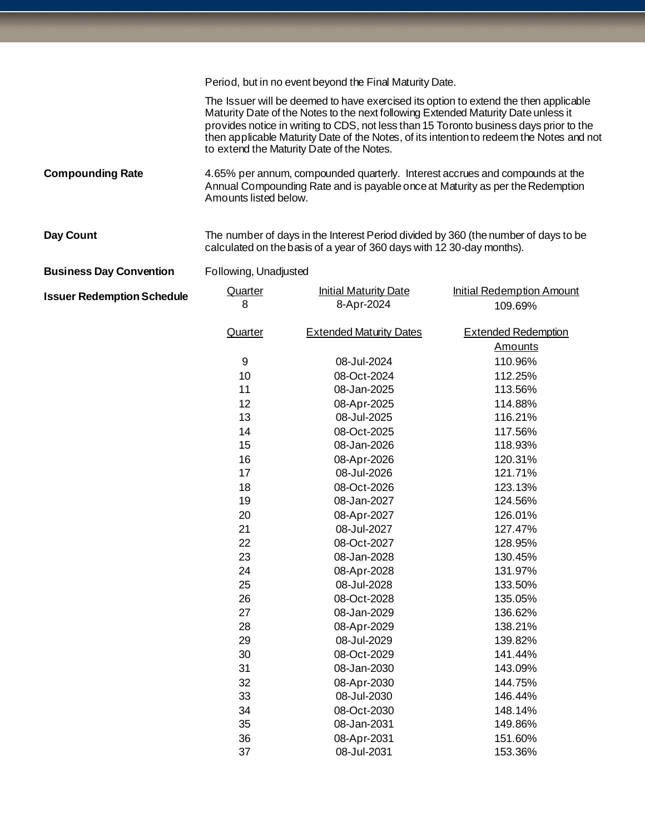Period, but in no event beyond the Final Maturity Date. The Issuer will be deemed to have exercised its option to extend the then applicable Maturity Date of the Notes to the next following Extended Maturity Date unless it provides notice in writing to CDS, not less than 15 Toronto business days prior to the then applicable Maturity Date of the Notes, of its intention to redeem the Notes and not to extend the Maturity Date of the Notes. **Compounding Rate** 4.65% per annum, compounded quarterly. Interest accrues and compounds at the Annual Compounding Rate and is payable once at Maturity as per the Redemption Amounts listed below.

Day Count The number of days in the Interest Period divided by 360 (the number of days to be calculated on the basis of a year of 360 days with 12 30-day months).

**Business Day Convention** Following, Unadjusted

| <b>Issuer Redemption Schedule</b> | Quarter | <b>Initial Maturity Date</b>   | <b>Initial Redemption Amount</b> |
|-----------------------------------|---------|--------------------------------|----------------------------------|
|                                   | 8       | 8-Apr-2024                     | 109.69%                          |
|                                   | Quarter | <b>Extended Maturity Dates</b> | <b>Extended Redemption</b>       |
|                                   |         |                                | <b>Amounts</b>                   |
|                                   | 9       | 08-Jul-2024                    | 110.96%                          |
|                                   | 10      | 08-Oct-2024                    | 112.25%                          |
|                                   | 11      | 08-Jan-2025                    | 113.56%                          |
|                                   | 12      | 08-Apr-2025                    | 114.88%                          |
|                                   | 13      | 08-Jul-2025                    | 116.21%                          |
|                                   | 14      | 08-Oct-2025                    | 117.56%                          |
|                                   | 15      | 08-Jan-2026                    | 118.93%                          |
|                                   | 16      | 08-Apr-2026                    | 120.31%                          |
|                                   | 17      | 08-Jul-2026                    | 121.71%                          |
|                                   | 18      | 08-Oct-2026                    | 123.13%                          |
|                                   | 19      | 08-Jan-2027                    | 124.56%                          |
|                                   | 20      | 08-Apr-2027                    | 126.01%                          |
|                                   | 21      | 08-Jul-2027                    | 127.47%                          |
|                                   | 22      | 08-Oct-2027                    | 128.95%                          |
|                                   | 23      | 08-Jan-2028                    | 130.45%                          |
|                                   | 24      | 08-Apr-2028                    | 131.97%                          |
|                                   | 25      | 08-Jul-2028                    | 133.50%                          |
|                                   | 26      | 08-Oct-2028                    | 135.05%                          |
|                                   | 27      | 08-Jan-2029                    | 136.62%                          |
|                                   | 28      | 08-Apr-2029                    | 138.21%                          |
|                                   | 29      | 08-Jul-2029                    | 139.82%                          |
|                                   | 30      | 08-Oct-2029                    | 141.44%                          |
|                                   | 31      | 08-Jan-2030                    | 143.09%                          |
|                                   | 32      | 08-Apr-2030                    | 144.75%                          |
|                                   | 33      | 08-Jul-2030                    | 146.44%                          |
|                                   | 34      | 08-Oct-2030                    | 148.14%                          |
|                                   | 35      | 08-Jan-2031                    | 149.86%                          |
|                                   | 36      | 08-Apr-2031                    | 151.60%                          |
|                                   | 37      | 08-Jul-2031                    | 153.36%                          |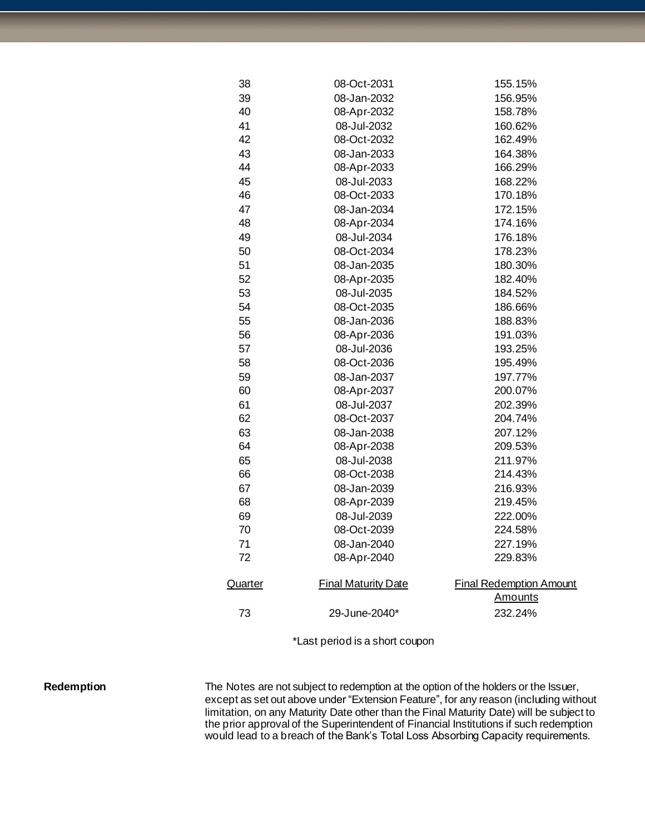| 38      | 08-Oct-2031                | 155.15%                        |
|---------|----------------------------|--------------------------------|
| 39      | 08-Jan-2032                | 156.95%                        |
| 40      | 08-Apr-2032                | 158.78%                        |
| 41      | 08-Jul-2032                | 160.62%                        |
| 42      | 08-Oct-2032                | 162.49%                        |
| 43      | 08-Jan-2033                | 164.38%                        |
| 44      | 08-Apr-2033                | 166.29%                        |
| 45      | 08-Jul-2033                | 168.22%                        |
| 46      | 08-Oct-2033                | 170.18%                        |
| 47      | 08-Jan-2034                | 172.15%                        |
| 48      | 08-Apr-2034                | 174.16%                        |
| 49      | 08-Jul-2034                | 176.18%                        |
| 50      | 08-Oct-2034                | 178.23%                        |
| 51      | 08-Jan-2035                | 180.30%                        |
| 52      | 08-Apr-2035                | 182.40%                        |
| 53      | 08-Jul-2035                | 184.52%                        |
| 54      | 08-Oct-2035                | 186.66%                        |
| 55      | 08-Jan-2036                | 188.83%                        |
| 56      | 08-Apr-2036                | 191.03%                        |
| 57      | 08-Jul-2036                | 193.25%                        |
| 58      | 08-Oct-2036                | 195.49%                        |
| 59      | 08-Jan-2037                | 197.77%                        |
| 60      | 08-Apr-2037                | 200.07%                        |
| 61      | 08-Jul-2037                | 202.39%                        |
| 62      | 08-Oct-2037                | 204.74%                        |
| 63      | 08-Jan-2038                | 207.12%                        |
| 64      | 08-Apr-2038                | 209.53%                        |
| 65      | 08-Jul-2038                | 211.97%                        |
| 66      | 08-Oct-2038                | 214.43%                        |
| 67      | 08-Jan-2039                | 216.93%                        |
| 68      | 08-Apr-2039                | 219.45%                        |
| 69      | 08-Jul-2039                | 222.00%                        |
| 70      | 08-Oct-2039                | 224.58%                        |
| 71      | 08-Jan-2040                | 227.19%                        |
| 72      | 08-Apr-2040                | 229.83%                        |
| Quarter | <b>Final Maturity Date</b> | <b>Final Redemption Amount</b> |
|         |                            | <b>Amounts</b>                 |
| 73      | 29-June-2040*              | 232.24%                        |
|         |                            |                                |

\*Last period is a short coupon

Redemption The Notes are not subject to redemption at the option of the holders or the Issuer, except as set out above under "Extension Feature", for any reason (including without limitation, on any Maturity Date other than the Final Maturity Date) will be subject to the prior approval of the Superintendent of Financial Institutions if such redemption would lead to a breach of the Bank's Total Loss Absorbing Capacity requirements.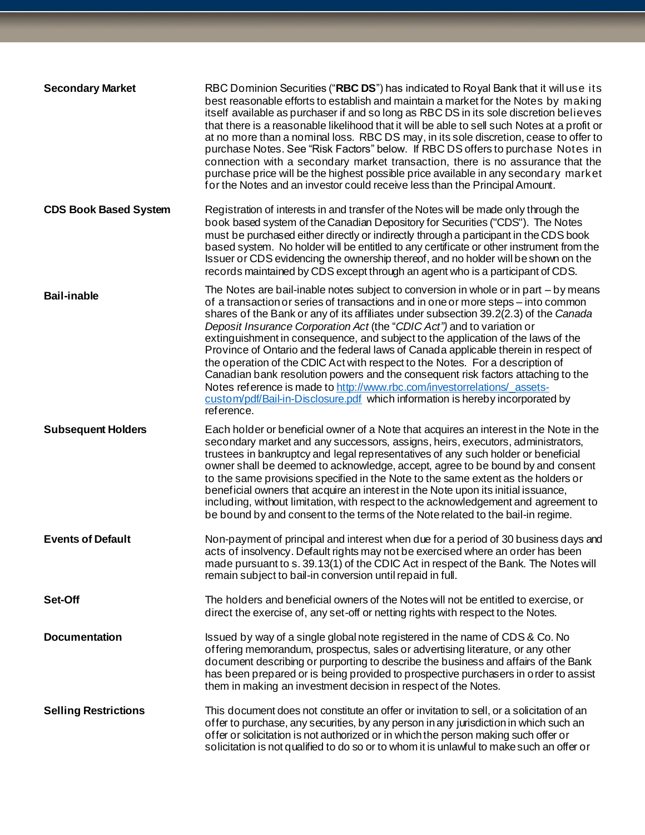| <b>Secondary Market</b>      | RBC Dominion Securities ("RBC DS") has indicated to Royal Bank that it will use its<br>best reasonable efforts to establish and maintain a market for the Notes by making<br>itself available as purchaser if and so long as RBC DS in its sole discretion believes<br>that there is a reasonable likelihood that it will be able to sell such Notes at a profit or<br>at no more than a nominal loss. RBC DS may, in its sole discretion, cease to offer to<br>purchase Notes. See "Risk Factors" below. If RBC DS offers to purchase Notes in<br>connection with a secondary market transaction, there is no assurance that the<br>purchase price will be the highest possible price available in any secondary market<br>for the Notes and an investor could receive less than the Principal Amount.                                                               |
|------------------------------|-----------------------------------------------------------------------------------------------------------------------------------------------------------------------------------------------------------------------------------------------------------------------------------------------------------------------------------------------------------------------------------------------------------------------------------------------------------------------------------------------------------------------------------------------------------------------------------------------------------------------------------------------------------------------------------------------------------------------------------------------------------------------------------------------------------------------------------------------------------------------|
| <b>CDS Book Based System</b> | Registration of interests in and transfer of the Notes will be made only through the<br>book based system of the Canadian Depository for Securities ("CDS"). The Notes<br>must be purchased either directly or indirectly through a participant in the CDS book<br>based system. No holder will be entitled to any certificate or other instrument from the<br>Issuer or CDS evidencing the ownership thereof, and no holder will be shown on the<br>records maintained by CDS except through an agent who is a participant of CDS.                                                                                                                                                                                                                                                                                                                                   |
| <b>Bail-inable</b>           | The Notes are bail-inable notes subject to conversion in whole or in part - by means<br>of a transaction or series of transactions and in one or more steps – into common<br>shares of the Bank or any of its affiliates under subsection 39.2(2.3) of the Canada<br>Deposit Insurance Corporation Act (the "CDIC Act") and to variation or<br>extinguishment in consequence, and subject to the application of the laws of the<br>Province of Ontario and the federal laws of Canada applicable therein in respect of<br>the operation of the CDIC Act with respect to the Notes. For a description of<br>Canadian bank resolution powers and the consequent risk factors attaching to the<br>Notes reference is made to http://www.rbc.com/investorrelations/assets-<br>custom/pdf/Bail-in-Disclosure.pdf which information is hereby incorporated by<br>reference. |
| <b>Subsequent Holders</b>    | Each holder or beneficial owner of a Note that acquires an interest in the Note in the<br>secondary market and any successors, assigns, heirs, executors, administrators,<br>trustees in bankruptcy and legal representatives of any such holder or beneficial<br>owner shall be deemed to acknowledge, accept, agree to be bound by and consent<br>to the same provisions specified in the Note to the same extent as the holders or<br>beneficial owners that acquire an interest in the Note upon its initial issuance,<br>including, without limitation, with respect to the acknowledgement and agreement to<br>be bound by and consent to the terms of the Note related to the bail-in regime.                                                                                                                                                                  |
| <b>Events of Default</b>     | Non-payment of principal and interest when due for a period of 30 business days and<br>acts of insolvency. Default rights may not be exercised where an order has been<br>made pursuant to s. 39.13(1) of the CDIC Act in respect of the Bank. The Notes will<br>remain subject to bail-in conversion until repaid in full.                                                                                                                                                                                                                                                                                                                                                                                                                                                                                                                                           |
| Set-Off                      | The holders and beneficial owners of the Notes will not be entitled to exercise, or<br>direct the exercise of, any set-off or netting rights with respect to the Notes.                                                                                                                                                                                                                                                                                                                                                                                                                                                                                                                                                                                                                                                                                               |
| <b>Documentation</b>         | Issued by way of a single global note registered in the name of CDS & Co. No<br>offering memorandum, prospectus, sales or advertising literature, or any other<br>document describing or purporting to describe the business and affairs of the Bank<br>has been prepared or is being provided to prospective purchasers in order to assist<br>them in making an investment decision in respect of the Notes.                                                                                                                                                                                                                                                                                                                                                                                                                                                         |
| <b>Selling Restrictions</b>  | This document does not constitute an offer or invitation to sell, or a solicitation of an<br>offer to purchase, any securities, by any person in any jurisdiction in which such an<br>offer or solicitation is not authorized or in which the person making such offer or<br>solicitation is not qualified to do so or to whom it is unlawful to make such an offer or                                                                                                                                                                                                                                                                                                                                                                                                                                                                                                |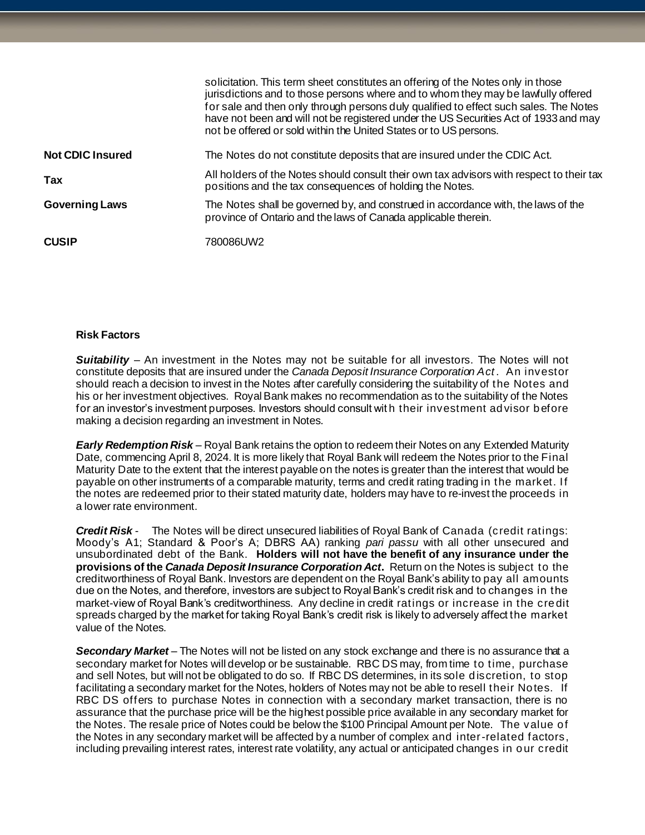|                         | solicitation. This term sheet constitutes an offering of the Notes only in those<br>jurisdictions and to those persons where and to whom they may be lawfully offered<br>for sale and then only through persons duly qualified to effect such sales. The Notes<br>have not been and will not be registered under the US Securities Act of 1933 and may<br>not be offered or sold within the United States or to US persons. |
|-------------------------|-----------------------------------------------------------------------------------------------------------------------------------------------------------------------------------------------------------------------------------------------------------------------------------------------------------------------------------------------------------------------------------------------------------------------------|
| <b>Not CDIC Insured</b> | The Notes do not constitute deposits that are insured under the CDIC Act.                                                                                                                                                                                                                                                                                                                                                   |
| Tax                     | All holders of the Notes should consult their own tax advisors with respect to their tax<br>positions and the tax consequences of holding the Notes.                                                                                                                                                                                                                                                                        |
| <b>Governing Laws</b>   | The Notes shall be governed by, and construed in accordance with, the laws of the<br>province of Ontario and the laws of Canada applicable therein.                                                                                                                                                                                                                                                                         |
| <b>CUSIP</b>            | 780086UW2                                                                                                                                                                                                                                                                                                                                                                                                                   |

## **Risk Factors**

**Suitability** – An investment in the Notes may not be suitable for all investors. The Notes will not constitute deposits that are insured under the *Canada Deposit Insurance Corporation Act* . An investor should reach a decision to invest in the Notes after carefully considering the suitability of the Notes and his or her investment objectives. Royal Bank makes no recommendation as to the suitability of the Notes for an investor's investment purposes. Investors should consult wit h their investment advisor before making a decision regarding an investment in Notes.

*Early Redemption Risk* – Royal Bank retains the option to redeem their Notes on any Extended Maturity Date, commencing April 8, 2024. It is more likely that Royal Bank will redeem the Notes prior to the Final Maturity Date to the extent that the interest payable on the notes is greater than the interest that would be payable on other instruments of a comparable maturity, terms and credit rating trading in the market. If the notes are redeemed prior to their stated maturity date, holders may have to re-invest the proceeds in a lower rate environment.

*Credit Risk* - The Notes will be direct unsecured liabilities of Royal Bank of Canada (credit ratings: Moody's A1; Standard & Poor's A; DBRS AA) ranking *pari passu* with all other unsecured and unsubordinated debt of the Bank. **Holders will not have the benefit of any insurance under the provisions of the** *Canada Deposit Insurance Corporation Act***.** Return on the Notes is subject to the creditworthiness of Royal Bank. Investors are dependent on the Royal Bank's ability to pay all amounts due on the Notes, and therefore, investors are subject to Royal Bank's credit risk and to changes in the market-view of Royal Bank's creditworthiness. Any decline in credit ratings or increase in the credit spreads charged by the market for taking Royal Bank's credit risk is likely to adversely affect the market value of the Notes.

*Secondary Market* – The Notes will not be listed on any stock exchange and there is no assurance that a secondary market for Notes will develop or be sustainable. RBC DS may, from time to time, purchase and sell Notes, but will not be obligated to do so. If RBC DS determines, in its sole discretion, to stop facilitating a secondary market for the Notes, holders of Notes may not be able to resell their Notes. If RBC DS offers to purchase Notes in connection with a secondary market transaction, there is no assurance that the purchase price will be the highest possible price available in any secondary market for the Notes. The resale price of Notes could be below the \$100 Principal Amount per Note. The value of the Notes in any secondary market will be affected by a number of complex and inter-related factors, including prevailing interest rates, interest rate volatility, any actual or anticipated changes in our credit